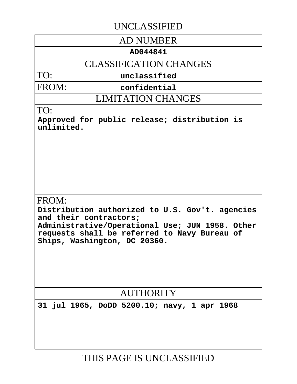# UNCLASSIFIED

## AD NUMBER

### **AD044841**

## CLASSIFICATION CHANGES

TO:

**unclassified**

FROM:

**confidential**

LIMITATION CHANGES

### TO:

**Approved for public release; distribution is unlimited.**

## FROM:

**Distribution authorized to U.S. Gov't. agencies and their contractors; Administrative/Operational Use; JUN 1958. Other requests shall be referred to Navy Bureau of Ships, Washington, DC 20360.**

# AUTHORITY

**31 jul 1965, DoDD 5200.10; navy, 1 apr 1968**

# THIS PAGE IS UNCLASSIFIED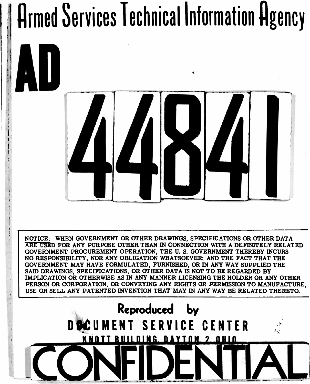# **Armed Services Technical Information Agency**



**NOTICE: WHEN GOVERNMENT OR OTHER DRAWINGS, SPECIFICATIONS OR OTHER DATA ARE USED FOR ANY PURPOSE OTHER THAN IN CONNECTION WITH A DEFINITELY RELATED GOVERNMENT PROCUREMENT OPERATION, THE U. S. GOVERNMENT THEREBY INCURS NO RESPONSIBILITY, NOR ANY OBLIGATION WHATSOEVER; AND THE FACT THAT THE GOVERNMENT MAY HAVE FORMULATED, FURNISHED, OR IN ANY WAY SUPPLIED THE SAID DRAWINGS, SPECIFICATIONS, OR OTHER DATA IS NOT TO BE REGARDED BY IMPLICATION OR OTHERWISE AS IN ANY MANNER LICENSING THE HOLDER OR ANY OTHER PERSON OR CORPORATION, OR CONVEYING ANY RIGHTS OR PERMISSION TO MANUFACTURE, USE OR SELL ANY PATENTED DWENTION THAT MAY IN ANY WAY BE RELATED THERETO.**

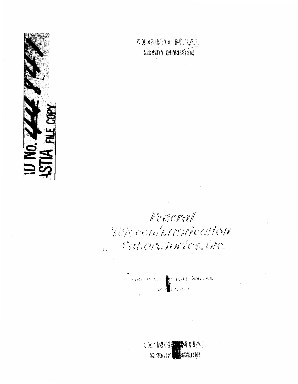

# , 5. A. P. P. H. H. H. H. H. H. H. H. H. SERIENT REDUCKETE

**Contract Contract** 

Pedoral

# A CROCONNATION CONTON C. Patronakurics, Inc.

Commentation of the second morning

**人民分配問題 我们的人们。 NEWS CROW**  $sum_{i}$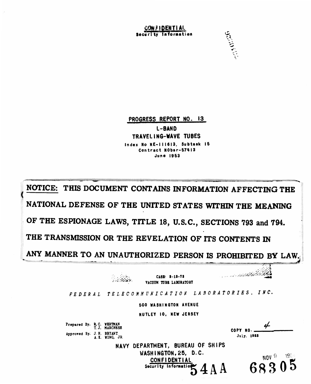CONFIDENTIAL security information



PROGRESS REPORT NO. 13 L-BAND TRAVELING-WAVE TUBES Index No NE-111613, Subtask 15 Contract NObsr-57413 **June 1953** 

THIS DOCUMENT CONTAINS INFORMATION AFFECTING THE **NOTICE:** NATIONAL DEFENSE OF THE UNITED STATES WITHIN THE MEANING OF THE ESPIONAGE LAWS, TITLE 18, U.S.C., SECTIONS 793 and 794. THE TRANSMISSION OR THE REVELATION OF ITS CONTENTS IN ANY MANNER TO AN UNAUTHORIZED PERSON IS PROHIBITED BY LAW

**Barbara** 

CASE: 8-18-73 VACUUM TUBE LABORATORY

FEDERAL TELECOMMUNICATION LABORATORIES, INC.

**500 WASHINGTON AVENUE** 

NUTLEY IO, NEW JERSEY

Prepared By. R.C. WERTMAN<br>T.J. MARCHESE Approved By: J.H. BRYANT<br>A.K. WING, JR.

| COPY NO. - | H |
|------------|---|
| July. 1953 |   |

683

**Alexandria Bally Add** 

NAVY DEPARTMENT, BUREAU OF SHIPS WASHINGTON, 25, D.C. **CONFIDENTIAL** Security Information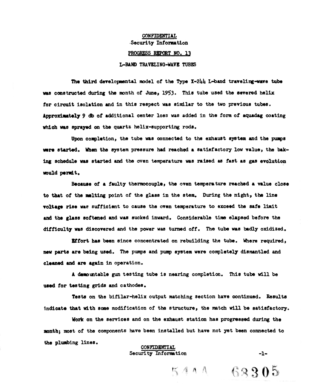### **CONFIDENTIAL •Security Information PROGRESS REPORT NO. 13**

#### **L-BAND TRAVELING-WAVE TUBES**

**The third developmental model of the Type X-2UU L-band traveling-wave tube was constructed during the month of June, 1953. This tube used the severed helix for circuit isolation and in this respect was similar to the two previous tubes. Approximately 9 db of additional center loss was added in the form of aquadag coating which was sprayed on the quartz helix-supporting rods.**

**Upon completion, the tube was connected to the exhaust system and the pumps were started. When the system pressure had reached a satisfactory low value, the baking schedule was started and the oven temperature was raised as fast as gas evolution would permit.**

**Because of a faulty thermocouple, the oven temperature reached a value close to that of the melting point of the glass in the stem. During the night, the line voltage rise was sufficient to cause the oven temperature to exceed the safe limit and the glass softened and was sucked inward. Considerable time elapsed before the difficulty was discovered and the power was turned off. The tube was badly oxidized.**

**Effort has been since concentrated on rebuilding the tube. Where required, new parts are being used. The pumps and pump system were completely dismantled and cleaned and are again in operation.**

**A demountable gun testing tube is nearing completion. This tube will be used for testing grids and cathodes.**

**Tests on the bifilar-helix output matching section have continued. Results Indicate that with some modification of the structure, the match will be satisfactory.**

**Work on the services and on the exhaust station has progressed during the month) most of the components have been installed but have not yet been connected to the plumbing lines.**

### **CONFIDENTIAL Security Information -1-**

 $54*4$  63305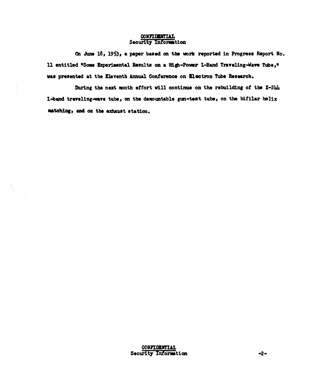### **CONFIDENTIAL Security Information**

**On June 18) 1953» \* paper based on the work reported in Progress Report Mo. 11 entitled "Some Experimental Results on a High-Power L-Band Traveling-Wave Tube\*" was presented at the Eleventh Annual Conference on Electron Tube Research.**

**During the next month effort will continue on the rebuilding of the X-2U\* L-band traveling-wave tube, on the demountable gun-teat tube, on the bifilar helix matching, and on the exhaust station.**